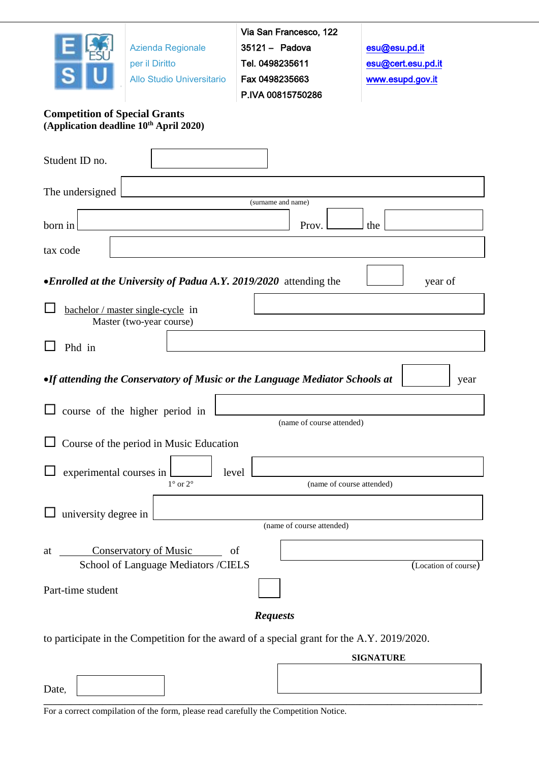

Azienda Regionale

per il Diritto

Allo Studio Universitario

Via San Francesco, 122 35121 – Padova Tel. 0498235611 Fax 0498235663 P.IVA 00815750286

[esu@esu.pd.it](mailto:esu@esu.pd.it)  [esu@cert.esu.pd.it](mailto:esu@cert.esu.pd.it)  [www.esupd.gov.it](http://www.esupd.gov.it/)

# **Competition of Special Grants (Application deadline 10th April 2020)**

| Student ID no.                                                                             |                                                                     |       |                    |                           |                  |                     |      |
|--------------------------------------------------------------------------------------------|---------------------------------------------------------------------|-------|--------------------|---------------------------|------------------|---------------------|------|
| The undersigned                                                                            |                                                                     |       |                    |                           |                  |                     |      |
| born in                                                                                    |                                                                     |       | (surname and name) | Prov.                     | the              |                     |      |
| tax code                                                                                   |                                                                     |       |                    |                           |                  |                     |      |
| •Enrolled at the University of Padua A.Y. 2019/2020 attending the                          |                                                                     |       |                    |                           |                  | year of             |      |
| bachelor / master single-cycle in                                                          | Master (two-year course)                                            |       |                    |                           |                  |                     |      |
| Phd in                                                                                     |                                                                     |       |                    |                           |                  |                     |      |
| •If attending the Conservatory of Music or the Language Mediator Schools at                |                                                                     |       |                    |                           |                  |                     | year |
|                                                                                            | course of the higher period in                                      |       |                    | (name of course attended) |                  |                     |      |
|                                                                                            | Course of the period in Music Education                             |       |                    |                           |                  |                     |      |
| experimental courses in                                                                    | $1^{\circ}$ or $2^{\circ}$                                          | level |                    | (name of course attended) |                  |                     |      |
| university degree in                                                                       |                                                                     |       |                    | (name of course attended) |                  |                     |      |
| at                                                                                         | <b>Conservatory of Music</b><br>School of Language Mediators /CIELS | of    |                    |                           |                  | (Location of course |      |
| Part-time student                                                                          |                                                                     |       |                    |                           |                  |                     |      |
|                                                                                            |                                                                     |       | <b>Requests</b>    |                           |                  |                     |      |
| to participate in the Competition for the award of a special grant for the A.Y. 2019/2020. |                                                                     |       |                    |                           | <b>SIGNATURE</b> |                     |      |
|                                                                                            |                                                                     |       |                    |                           |                  |                     |      |
| Date.                                                                                      |                                                                     |       |                    |                           |                  |                     |      |

**\_\_\_\_\_\_\_\_\_\_\_\_\_\_\_\_\_\_\_\_\_\_\_\_\_\_\_\_\_\_\_\_\_\_\_\_\_\_\_\_\_\_\_\_\_\_\_\_\_\_\_\_\_\_\_\_\_\_\_\_\_\_\_\_\_\_\_\_\_\_\_\_\_\_\_\_\_\_\_\_\_\_\_\_\_\_\_\_\_\_\_\_\_\_\_\_\_** For a correct compilation of the form, please read carefully the Competition Notice.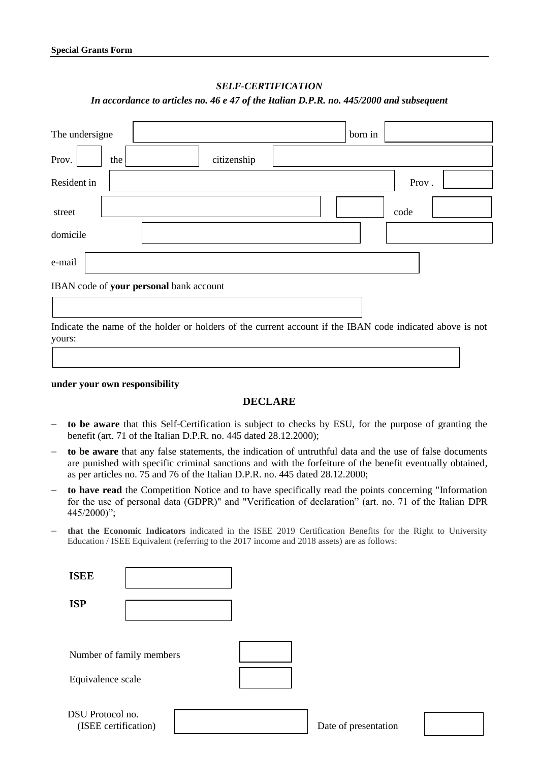### *SELF-CERTIFICATION*

#### *In accordance to articles no. 46 e 47 of the Italian D.P.R. no. 445/2000 and subsequent*

| The undersigne |                                         | born in |       |
|----------------|-----------------------------------------|---------|-------|
| Prov.<br>the   | citizenship                             |         |       |
| Resident in    |                                         |         | Prov. |
| street         |                                         |         | code  |
| domicile       |                                         |         |       |
| e-mail         |                                         |         |       |
|                | IBAN code of your personal bank account |         |       |
|                |                                         |         |       |

Indicate the name of the holder or holders of the current account if the IBAN code indicated above is not yours:

 $\Box$ 

#### **under your own responsibility**

## **DECLARE**

- **to be aware** that this Self-Certification is subject to checks by ESU, for the purpose of granting the benefit (art. 71 of the Italian D.P.R. no. 445 dated 28.12.2000);
- **to be aware** that any false statements, the indication of untruthful data and the use of false documents are punished with specific criminal sanctions and with the forfeiture of the benefit eventually obtained, as per articles no. 75 and 76 of the Italian D.P.R. no. 445 dated 28.12.2000;
- **to have read** the Competition Notice and to have specifically read the points concerning "Information for the use of personal data (GDPR)" and "Verification of declaration" (art. no. 71 of the Italian DPR 445/2000)";
- **that the Economic Indicators** indicated in the ISEE 2019 Certification Benefits for the Right to University Education / ISEE Equivalent (referring to the 2017 income and 2018 assets) are as follows:

| <b>ISEE</b>       |                          |  |
|-------------------|--------------------------|--|
| <b>ISP</b>        |                          |  |
| Equivalence scale | Number of family members |  |
| DSU Protocol no.  | (ISEE certification)     |  |

Date of presentation